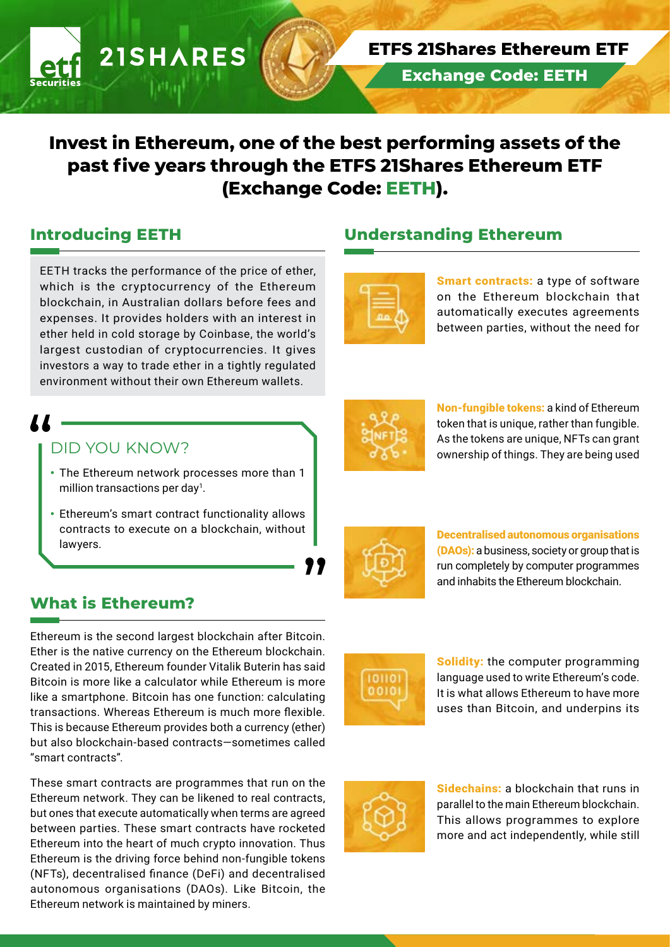# **Invest in Ethereum, one of the best performing assets of the past five years through the ETFS 21Shares Ethereum ETF (Exchange Code: EETH).**

### **Introducing EETH**

EETH tracks the performance of the price of ether, which is the cryptocurrency of the Ethereum blockchain, in Australian dollars before fees and expenses. It provides holders with an interest in ether held in cold storage by Coinbase, the world's largest custodian of cryptocurrencies. It gives investors a way to trade ether in a tightly regulated environment without their own Ethereum wallets.

**21SHARES** 

# 11 -

#### DID YOU KNOW?

- The Ethereum network processes more than 1 million transactions per day<sup>1</sup>.
- Ethereum's smart contract functionality allows contracts to execute on a blockchain, without lawyers.

# **What is Ethereum?**

Ethereum is the second largest blockchain after Bitcoin. Ether is the native currency on the Ethereum blockchain. Created in 2015, Ethereum founder Vitalik Buterin has said Bitcoin is more like a calculator while Ethereum is more like a smartphone. Bitcoin has one function: calculating transactions. Whereas Ethereum is much more flexible. This is because Ethereum provides both a currency (ether) but also blockchain-based contracts—sometimes called "smart contracts".

These smart contracts are programmes that run on the Ethereum network. They can be likened to real contracts, but ones that execute automatically when terms are agreed between parties. These smart contracts have rocketed Ethereum into the heart of much crypto innovation. Thus Ethereum is the driving force behind non-fungible tokens (NFTs), decentralised finance (DeFi) and decentralised autonomous organisations (DAOs). Like Bitcoin, the Ethereum network is maintained by miners.

### **Understanding Ethereum**

**Exchange Code: EETH**

**ETFS 21Shares Ethereum ETF** 



Smart contracts: a type of software on the Ethereum blockchain that automatically executes agreements between parties, without the need for



Non-fungible tokens: a kind of Ethereum token that is unique, rather than fungible. As the tokens are unique, NFTs can grant ownership of things. They are being used



77

Decentralised autonomous organisations (DAOs): a business, society or group that is run completely by computer programmes and inhabits the Ethereum blockchain.



Solidity: the computer programming language used to write Ethereum's code. It is what allows Ethereum to have more uses than Bitcoin, and underpins its



Sidechains: a blockchain that runs in parallel to the main Ethereum blockchain. This allows programmes to explore more and act independently, while still